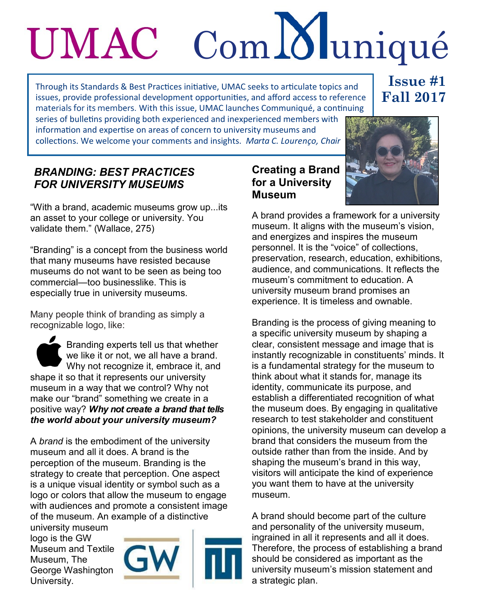# Com Muniqué UMAC

Through its Standards & Best Practices initiative, UMAC seeks to articulate topics and issues, provide professional development opportunities, and afford access to reference materials for its members. With this issue, UMAC launches Communiqué, a continuing series of bulletins providing both experienced and inexperienced members with

## **Issue #1 Fall 2017**

information and expertise on areas of concern to university museums and collections. We welcome your comments and insights. *Marta C. Lourenço, Chair*

## *BRANDING: BEST PRACTICES FOR UNIVERSITY MUSEUMS*

"With a brand, academic museums grow up...its an asset to your college or university. You validate them." (Wallace, 275)

"Branding" is a concept from the business world that many museums have resisted because museums do not want to be seen as being too commercial—too businesslike. This is especially true in university museums.

Many people think of branding as simply a recognizable logo, like:

Branding experts tell us that whether we like it or not, we all have a brand. Why not recognize it, embrace it, and shape it so that it represents our university museum in a way that we control? Why not make our "brand" something we create in a positive way? *Why not create a brand that tells the world about your university museum?* 

A *brand* is the embodiment of the university museum and all it does. A brand is the perception of the museum. Branding is the strategy to create that perception. One aspect is a unique visual identity or symbol such as a logo or colors that allow the museum to engage with audiences and promote a consistent image of the museum. An example of a distinctive

university museum logo is the GW Museum and Textile Museum, The George Washington University.





### **Creating a Brand for a University Museum**



A brand provides a framework for a university museum. It aligns with the museum's vision, and energizes and inspires the museum personnel. It is the "voice" of collections, preservation, research, education, exhibitions, audience, and communications. It reflects the museum's commitment to education. A university museum brand promises an experience. It is timeless and ownable.

Branding is the process of giving meaning to a specific university museum by shaping a clear, consistent message and image that is instantly recognizable in constituents' minds. It is a fundamental strategy for the museum to think about what it stands for, manage its identity, communicate its purpose, and establish a differentiated recognition of what the museum does. By engaging in qualitative research to test stakeholder and constituent opinions, the university museum can develop a brand that considers the museum from the outside rather than from the inside. And by shaping the museum's brand in this way, visitors will anticipate the kind of experience you want them to have at the university museum.

A brand should become part of the culture and personality of the university museum, ingrained in all it represents and all it does. Therefore, the process of establishing a brand should be considered as important as the university museum's mission statement and a strategic plan.